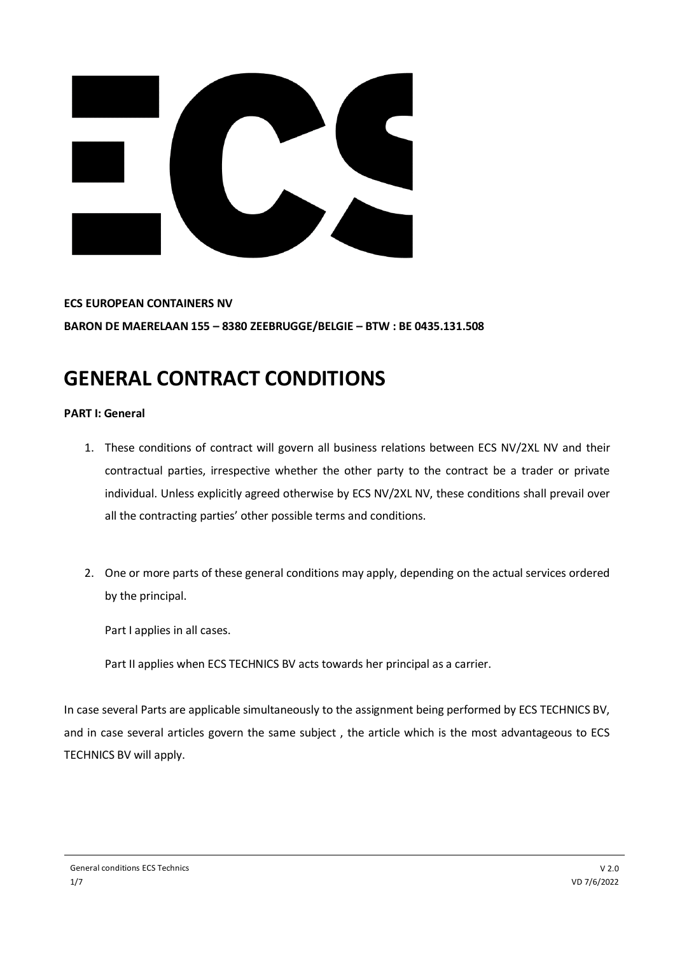

**ECS EUROPEAN CONTAINERS NV BARON DE MAERELAAN 155 – 8380 ZEEBRUGGE/BELGIE – BTW : BE 0435.131.508**

## **GENERAL CONTRACT CONDITIONS**

## **PART I: General**

- 1. These conditions of contract will govern all business relations between ECS NV/2XL NV and their contractual parties, irrespective whether the other party to the contract be a trader or private individual. Unless explicitly agreed otherwise by ECS NV/2XL NV, these conditions shall prevail over all the contracting parties' other possible terms and conditions.
- 2. One or more parts of these general conditions may apply, depending on the actual services ordered by the principal.

Part I applies in all cases.

Part II applies when ECS TECHNICS BV acts towards her principal as a carrier.

In case several Parts are applicable simultaneously to the assignment being performed by ECS TECHNICS BV, and in case several articles govern the same subject , the article which is the most advantageous to ECS TECHNICS BV will apply.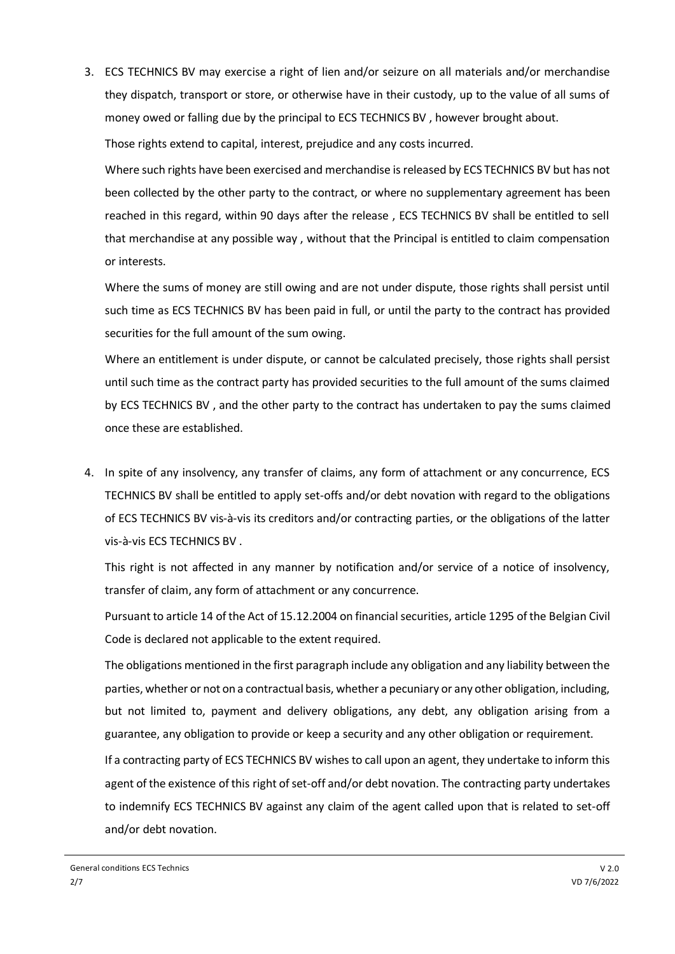3. ECS TECHNICS BV may exercise a right of lien and/or seizure on all materials and/or merchandise they dispatch, transport or store, or otherwise have in their custody, up to the value of all sums of money owed or falling due by the principal to ECS TECHNICS BV , however brought about. Those rights extend to capital, interest, prejudice and any costs incurred.

Where such rights have been exercised and merchandise is released by ECS TECHNICS BV but has not been collected by the other party to the contract, or where no supplementary agreement has been reached in this regard, within 90 days after the release , ECS TECHNICS BV shall be entitled to sell that merchandise at any possible way , without that the Principal is entitled to claim compensation or interests.

Where the sums of money are still owing and are not under dispute, those rights shall persist until such time as ECS TECHNICS BV has been paid in full, or until the party to the contract has provided securities for the full amount of the sum owing.

Where an entitlement is under dispute, or cannot be calculated precisely, those rights shall persist until such time as the contract party has provided securities to the full amount of the sums claimed by ECS TECHNICS BV , and the other party to the contract has undertaken to pay the sums claimed once these are established.

4. In spite of any insolvency, any transfer of claims, any form of attachment or any concurrence, ECS TECHNICS BV shall be entitled to apply set-offs and/or debt novation with regard to the obligations of ECS TECHNICS BV vis-à-vis its creditors and/or contracting parties, or the obligations of the latter vis-à-vis ECS TECHNICS BV .

This right is not affected in any manner by notification and/or service of a notice of insolvency, transfer of claim, any form of attachment or any concurrence.

Pursuant to article 14 of the Act of 15.12.2004 on financial securities, article 1295 of the Belgian Civil Code is declared not applicable to the extent required.

The obligations mentioned in the first paragraph include any obligation and any liability between the parties, whether or not on a contractual basis, whether a pecuniary or any other obligation, including, but not limited to, payment and delivery obligations, any debt, any obligation arising from a guarantee, any obligation to provide or keep a security and any other obligation or requirement.

If a contracting party of ECS TECHNICS BV wishes to call upon an agent, they undertake to inform this agent of the existence of this right of set-off and/or debt novation. The contracting party undertakes to indemnify ECS TECHNICS BV against any claim of the agent called upon that is related to set-off and/or debt novation.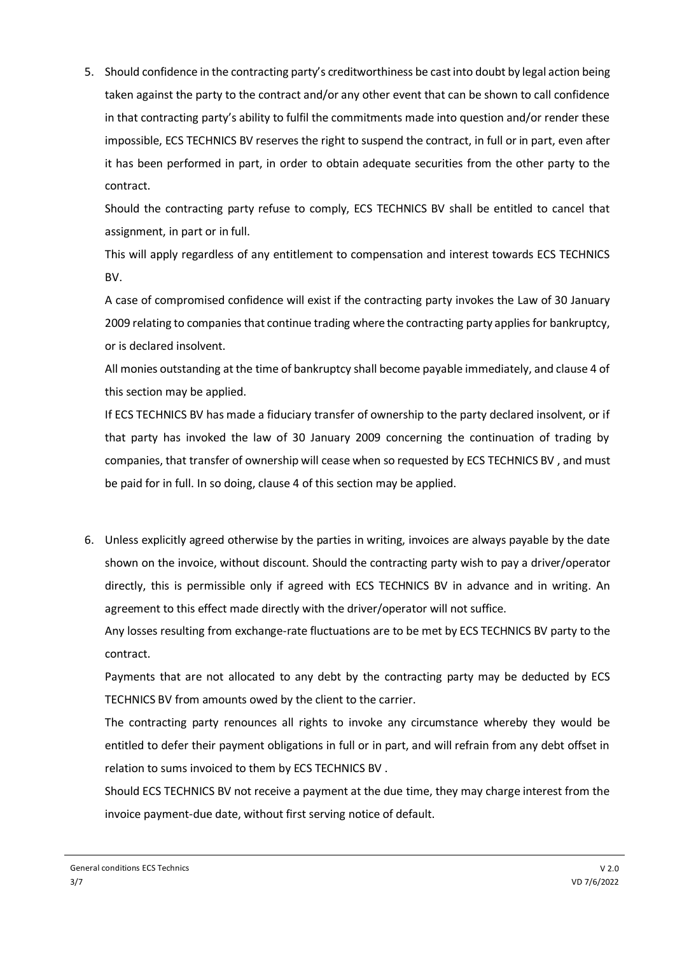5. Should confidence in the contracting party's creditworthiness be cast into doubt by legal action being taken against the party to the contract and/or any other event that can be shown to call confidence in that contracting party's ability to fulfil the commitments made into question and/or render these impossible, ECS TECHNICS BV reserves the right to suspend the contract, in full or in part, even after it has been performed in part, in order to obtain adequate securities from the other party to the contract.

Should the contracting party refuse to comply, ECS TECHNICS BV shall be entitled to cancel that assignment, in part or in full.

This will apply regardless of any entitlement to compensation and interest towards ECS TECHNICS BV.

A case of compromised confidence will exist if the contracting party invokes the Law of 30 January 2009 relating to companies that continue trading where the contracting party applies for bankruptcy, or is declared insolvent.

All monies outstanding at the time of bankruptcy shall become payable immediately, and clause 4 of this section may be applied.

If ECS TECHNICS BV has made a fiduciary transfer of ownership to the party declared insolvent, or if that party has invoked the law of 30 January 2009 concerning the continuation of trading by companies, that transfer of ownership will cease when so requested by ECS TECHNICS BV , and must be paid for in full. In so doing, clause 4 of this section may be applied.

6. Unless explicitly agreed otherwise by the parties in writing, invoices are always payable by the date shown on the invoice, without discount. Should the contracting party wish to pay a driver/operator directly, this is permissible only if agreed with ECS TECHNICS BV in advance and in writing. An agreement to this effect made directly with the driver/operator will not suffice.

Any losses resulting from exchange-rate fluctuations are to be met by ECS TECHNICS BV party to the contract.

Payments that are not allocated to any debt by the contracting party may be deducted by ECS TECHNICS BV from amounts owed by the client to the carrier.

The contracting party renounces all rights to invoke any circumstance whereby they would be entitled to defer their payment obligations in full or in part, and will refrain from any debt offset in relation to sums invoiced to them by ECS TECHNICS BV .

Should ECS TECHNICS BV not receive a payment at the due time, they may charge interest from the invoice payment-due date, without first serving notice of default.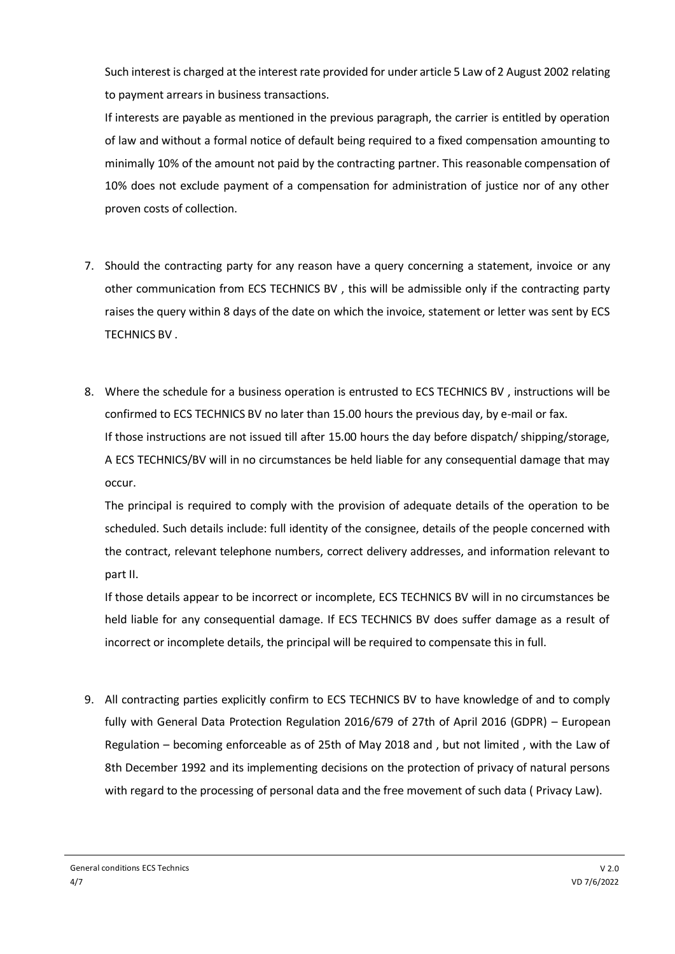Such interest is charged at the interest rate provided for under article 5 Law of 2 August 2002 relating to payment arrears in business transactions.

If interests are payable as mentioned in the previous paragraph, the carrier is entitled by operation of law and without a formal notice of default being required to a fixed compensation amounting to minimally 10% of the amount not paid by the contracting partner. This reasonable compensation of 10% does not exclude payment of a compensation for administration of justice nor of any other proven costs of collection.

- 7. Should the contracting party for any reason have a query concerning a statement, invoice or any other communication from ECS TECHNICS BV , this will be admissible only if the contracting party raises the query within 8 days of the date on which the invoice, statement or letter was sent by ECS TECHNICS BV .
- 8. Where the schedule for a business operation is entrusted to ECS TECHNICS BV , instructions will be confirmed to ECS TECHNICS BV no later than 15.00 hours the previous day, by e-mail or fax. If those instructions are not issued till after 15.00 hours the day before dispatch/ shipping/storage, A ECS TECHNICS/BV will in no circumstances be held liable for any consequential damage that may occur.

The principal is required to comply with the provision of adequate details of the operation to be scheduled. Such details include: full identity of the consignee, details of the people concerned with the contract, relevant telephone numbers, correct delivery addresses, and information relevant to part II.

If those details appear to be incorrect or incomplete, ECS TECHNICS BV will in no circumstances be held liable for any consequential damage. If ECS TECHNICS BV does suffer damage as a result of incorrect or incomplete details, the principal will be required to compensate this in full.

9. All contracting parties explicitly confirm to ECS TECHNICS BV to have knowledge of and to comply fully with General Data Protection Regulation 2016/679 of 27th of April 2016 (GDPR) – European Regulation – becoming enforceable as of 25th of May 2018 and , but not limited , with the Law of 8th December 1992 and its implementing decisions on the protection of privacy of natural persons with regard to the processing of personal data and the free movement of such data ( Privacy Law).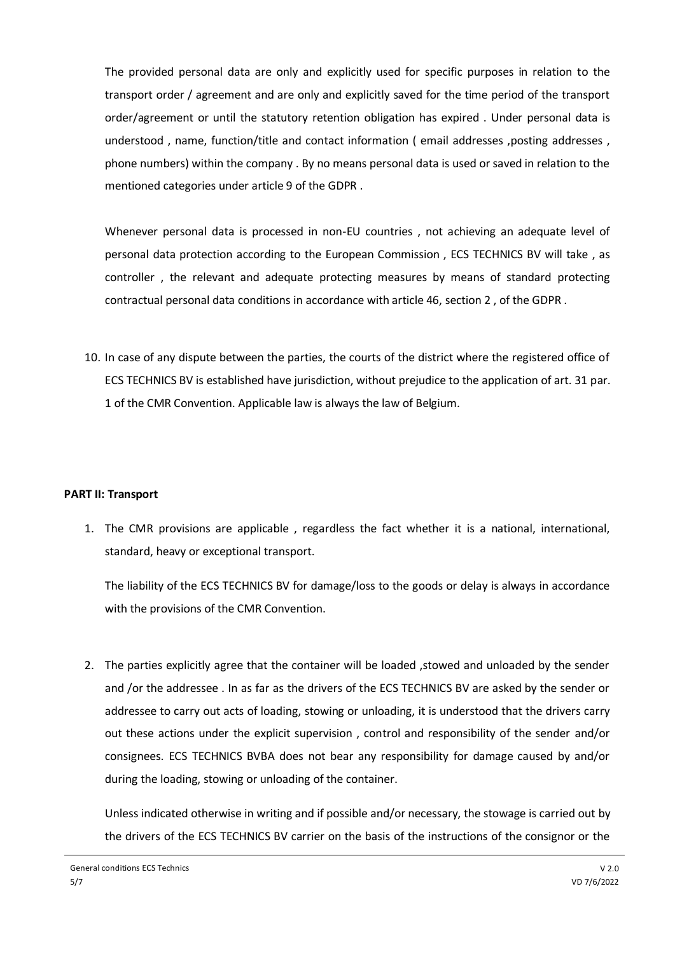The provided personal data are only and explicitly used for specific purposes in relation to the transport order / agreement and are only and explicitly saved for the time period of the transport order/agreement or until the statutory retention obligation has expired . Under personal data is understood, name, function/title and contact information ( email addresses , posting addresses , phone numbers) within the company . By no means personal data is used or saved in relation to the mentioned categories under article 9 of the GDPR .

Whenever personal data is processed in non-EU countries , not achieving an adequate level of personal data protection according to the European Commission , ECS TECHNICS BV will take , as controller , the relevant and adequate protecting measures by means of standard protecting contractual personal data conditions in accordance with article 46, section 2 , of the GDPR .

10. In case of any dispute between the parties, the courts of the district where the registered office of ECS TECHNICS BV is established have jurisdiction, without prejudice to the application of art. 31 par. 1 of the CMR Convention. Applicable law is always the law of Belgium.

## **PART II: Transport**

1. The CMR provisions are applicable , regardless the fact whether it is a national, international, standard, heavy or exceptional transport.

The liability of the ECS TECHNICS BV for damage/loss to the goods or delay is always in accordance with the provisions of the CMR Convention.

2. The parties explicitly agree that the container will be loaded ,stowed and unloaded by the sender and /or the addressee . In as far as the drivers of the ECS TECHNICS BV are asked by the sender or addressee to carry out acts of loading, stowing or unloading, it is understood that the drivers carry out these actions under the explicit supervision , control and responsibility of the sender and/or consignees. ECS TECHNICS BVBA does not bear any responsibility for damage caused by and/or during the loading, stowing or unloading of the container.

Unless indicated otherwise in writing and if possible and/or necessary, the stowage is carried out by the drivers of the ECS TECHNICS BV carrier on the basis of the instructions of the consignor or the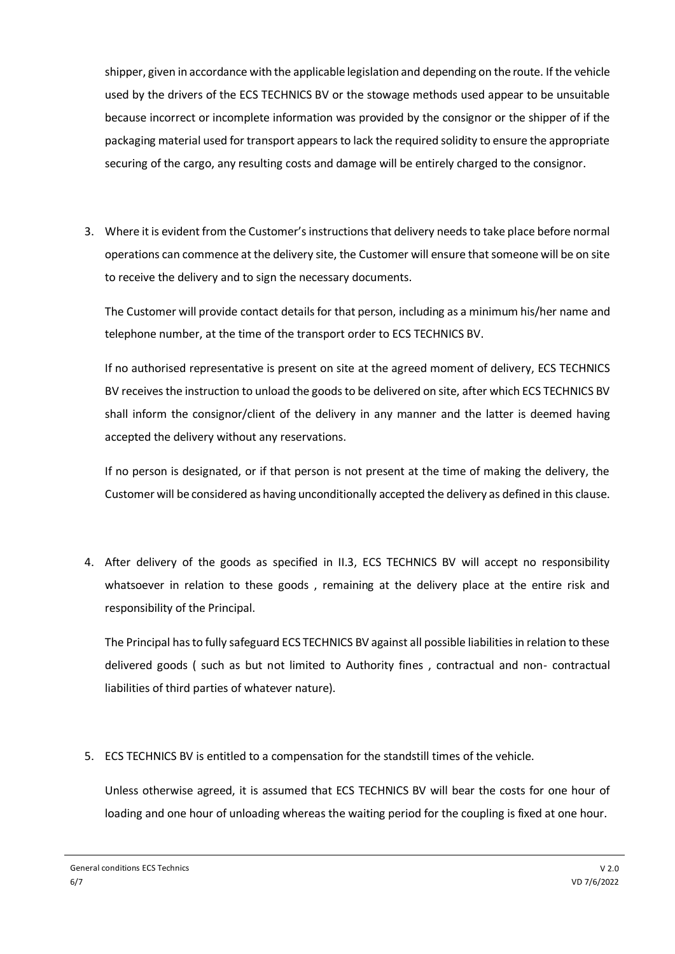shipper, given in accordance with the applicable legislation and depending on the route. If the vehicle used by the drivers of the ECS TECHNICS BV or the stowage methods used appear to be unsuitable because incorrect or incomplete information was provided by the consignor or the shipper of if the packaging material used for transport appears to lack the required solidity to ensure the appropriate securing of the cargo, any resulting costs and damage will be entirely charged to the consignor.

3. Where it is evident from the Customer's instructions that delivery needs to take place before normal operations can commence at the delivery site, the Customer will ensure that someone will be on site to receive the delivery and to sign the necessary documents.

The Customer will provide contact details for that person, including as a minimum his/her name and telephone number, at the time of the transport order to ECS TECHNICS BV.

If no authorised representative is present on site at the agreed moment of delivery, ECS TECHNICS BV receives the instruction to unload the goods to be delivered on site, after which ECS TECHNICS BV shall inform the consignor/client of the delivery in any manner and the latter is deemed having accepted the delivery without any reservations.

If no person is designated, or if that person is not present at the time of making the delivery, the Customer will be considered as having unconditionally accepted the delivery as defined in this clause.

4. After delivery of the goods as specified in II.3, ECS TECHNICS BV will accept no responsibility whatsoever in relation to these goods , remaining at the delivery place at the entire risk and responsibility of the Principal.

The Principal has to fully safeguard ECS TECHNICS BV against all possible liabilities in relation to these delivered goods ( such as but not limited to Authority fines , contractual and non- contractual liabilities of third parties of whatever nature).

5. ECS TECHNICS BV is entitled to a compensation for the standstill times of the vehicle.

Unless otherwise agreed, it is assumed that ECS TECHNICS BV will bear the costs for one hour of loading and one hour of unloading whereas the waiting period for the coupling is fixed at one hour.